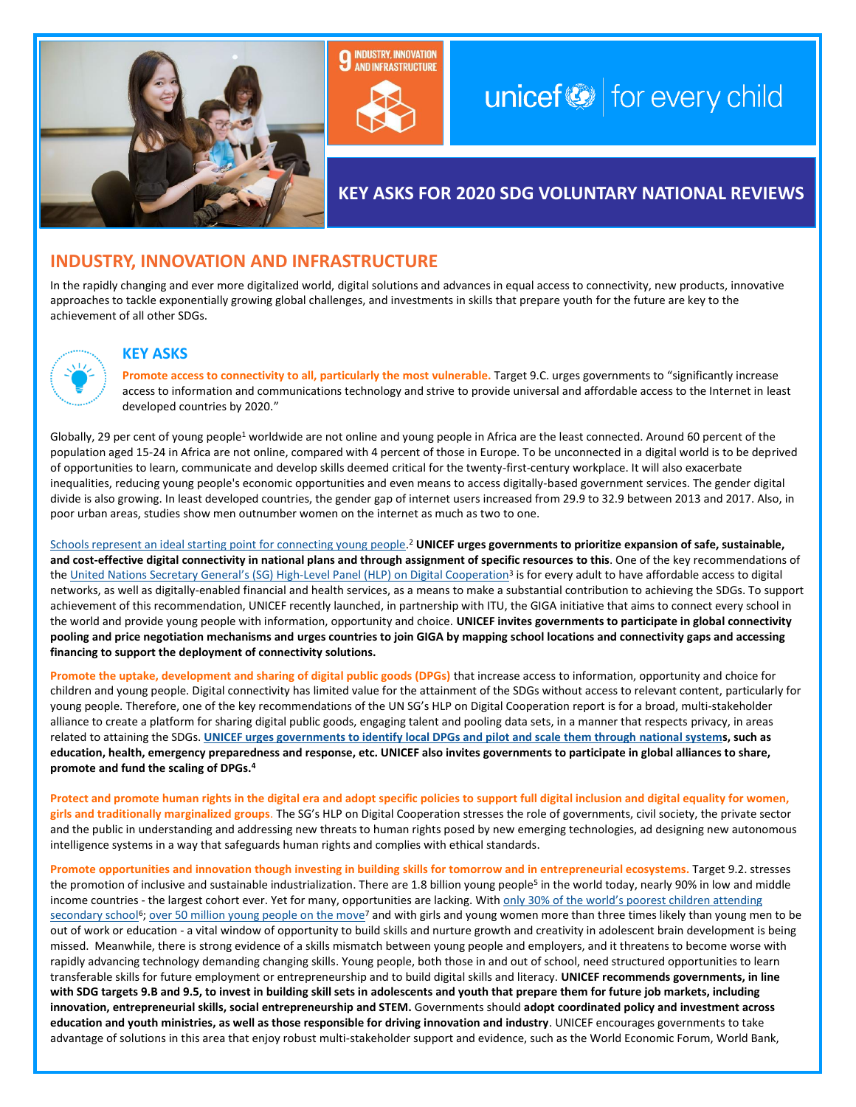

# **INDUSTRY, INNOVATION AND INFRASTRUCTURE**

## $unicef$   $\odot$  for every child

## **KEY ASKS FOR 2020 SDG VOLUNTARY NATIONAL REVIEWS**

### **INDUSTRY, INNOVATION AND INFRASTRUCTURE**

In the rapidly changing and ever more digitalized world, digital solutions and advances in equal access to connectivity, new products, innovative approaches to tackle exponentially growing global challenges, and investments in skills that prepare youth for the future are key to the achievement of all other SDGs.



#### **KEY ASKS**

**Promote access to connectivity to all, particularly the most vulnerable.** Target 9.C. urges governments to "significantly increase access to information and communications technology and strive to provide universal and affordable access to the Internet in least developed countries by 2020."

Globally, 29 per cent of young people<sup>1</sup> worldwide are not online and young people in Africa are the least connected. Around 60 percent of the population aged 15-24 in Africa are not online, compared with 4 percent of those in Europe. To be unconnected in a digital world is to be deprived of opportunities to learn, communicate and develop skills deemed critical for the twenty-first-century workplace. It will also exacerbate inequalities, reducing young people's economic opportunities and even means to access digitally-based government services. The gender digital divide is also growing. In least developed countries, the gender gap of internet users increased from 29.9 to 32.9 between 2013 and 2017. Also, in poor urban areas, studies show men outnumber women on the internet as much as two to one.

[Schools represent an ideal starting point for connecting young people.](https://www.generationunlimited.org/our-work/promising-ideas-innovation/digital-connectivity) <sup>2</sup> **UNICEF urges governments to prioritize expansion of safe, sustainable, and cost-effective digital connectivity in national plans and through assignment of specific resources to this**. One of the key recommendations of the <u>United Nations Secretary General's (SG) High-Level Panel (HLP) on Digital Cooperation</u><sup>3</sup> is for every adult to have affordable access to digital networks, as well as digitally-enabled financial and health services, as a means to make a substantial contribution to achieving the SDGs. To support achievement of this recommendation, UNICEF recently launched, in partnership with ITU, the GIGA initiative that aims to connect every school in the world and provide young people with information, opportunity and choice. **UNICEF invites governments to participate in global connectivity pooling and price negotiation mechanisms and urges countries to join GIGA by mapping school locations and connectivity gaps and accessing financing to support the deployment of connectivity solutions.**

**Promote the uptake, development and sharing of digital public goods (DPGs)** that increase access to information, opportunity and choice for children and young people. Digital connectivity has limited value for the attainment of the SDGs without access to relevant content, particularly for young people. Therefore, one of the key recommendations of the UN SG's HLP on Digital Cooperation report is for a broad, multi-stakeholder alliance to create a platform for sharing digital public goods, engaging talent and pooling data sets, in a manner that respects privacy, in areas related to attaining the SDGs. **[UNICEF urges governments to identify local DPGs and pilot and scale them through national systems](https://digitalpublicgoods.net/), such as education, health, emergency preparedness and response, etc. UNICEF also invites governments to participate in global alliances to share, promote and fund the scaling of DPGs.<sup>4</sup>**

**Protect and promote human rights in the digital era and adopt specific policies to support full digital inclusion and digital equality for women, girls and traditionally marginalized groups**. The SG's HLP on Digital Cooperation stresses the role of governments, civil society, the private sector and the public in understanding and addressing new threats to human rights posed by new emerging technologies, ad designing new autonomous intelligence systems in a way that safeguards human rights and complies with ethical standards.

**Promote opportunities and innovation though investing in building skills for tomorrow and in entrepreneurial ecosystems.** Target 9.2. stresses the promotion of inclusive and sustainable industrialization. There are 1.8 billion young people<sup>5</sup> in the world today, nearly 90% in low and middle income countries - the largest cohort ever. Yet for many, opportunities are lacking. With only 30% of the world's poorest children attending [secondary school](https://data.unicef.org/topic/education/secondary-education/)<sup>6</sup>; <u>[over 50 million young people on the move](https://www.unicef-irc.org/research-watch/Children-on-the-move/)</u><sup>7</sup> and with girls and young women more than three times likely than young men to be out of work or education - a vital window of opportunity to build skills and nurture growth and creativity in adolescent brain development is being missed. Meanwhile, there is strong evidence of a skills mismatch between young people and employers, and it threatens to become worse with rapidly advancing technology demanding changing skills. Young people, both those in and out of school, need structured opportunities to learn transferable skills for future employment or entrepreneurship and to build digital skills and literacy. **UNICEF recommends governments, in line with SDG targets 9.B and 9.5, to invest in building skill sets in adolescents and youth that prepare them for future job markets, including innovation, entrepreneurial skills, social entrepreneurship and STEM.** Governments should **adopt coordinated policy and investment across education and youth ministries, as well as those responsible for driving innovation and industry**. UNICEF encourages governments to take advantage of solutions in this area that enjoy robust multi-stakeholder support and evidence, such as the World Economic Forum, World Bank,